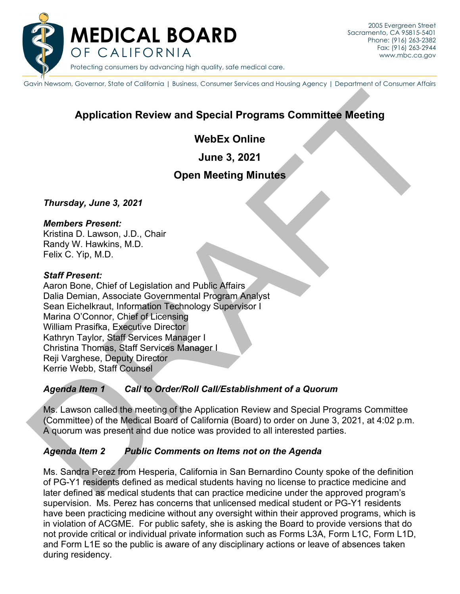

Protecting consumers by advancing high quality, safe medical care.

Gavin Newsom, Governor, State of California | Business, Consumer Services and Housing Agency | Department of Consumer Affairs

# **Application Review and Special Programs Committee Meeting**

## **WebEx Online**

**June 3, 2021**

## **Open Meeting Minutes**

*Thursday, June 3, 2021*

#### *Members Present:*

Kristina D. Lawson, J.D., Chair Randy W. Hawkins, M.D. Felix C. Yip, M.D.

#### *Staff Present:*

Application Review and Special Programs Committee Meeting<br>
Une 3, 2021<br>
Open Meeting Minutes<br>
June 3, 2021<br>
Open Meeting Minutes<br>
Thursday, June 3, 2021<br>
Nember Present:<br>
Rafting D. Lawson, J.D., Chair<br>
Rafting D. Lawson, Aaron Bone, Chief of Legislation and Public Affairs Dalia Demian, Associate Governmental Program Analyst Sean Eichelkraut, Information Technology Supervisor I Marina O'Connor, Chief of Licensing William Prasifka, Executive Director Kathryn Taylor, Staff Services Manager I Christina Thomas, Staff Services Manager I Reji Varghese, Deputy Director Kerrie Webb, Staff Counsel

### *Agenda Item 1 Call to Order/Roll Call/Establishment of a Quorum*

Ms. Lawson called the meeting of the Application Review and Special Programs Committee (Committee) of the Medical Board of California (Board) to order on June 3, 2021, at 4:02 p.m. A quorum was present and due notice was provided to all interested parties.

### *Agenda Item 2 Public Comments on Items not on the Agenda*

Ms. Sandra Perez from Hesperia, California in San Bernardino County spoke of the definition of PG-Y1 residents defined as medical students having no license to practice medicine and later defined as medical students that can practice medicine under the approved program's supervision. Ms. Perez has concerns that unlicensed medical student or PG-Y1 residents have been practicing medicine without any oversight within their approved programs, which is in violation of ACGME. For public safety, she is asking the Board to provide versions that do not provide critical or individual private information such as Forms L3A, Form L1C, Form L1D, and Form L1E so the public is aware of any disciplinary actions or leave of absences taken during residency.